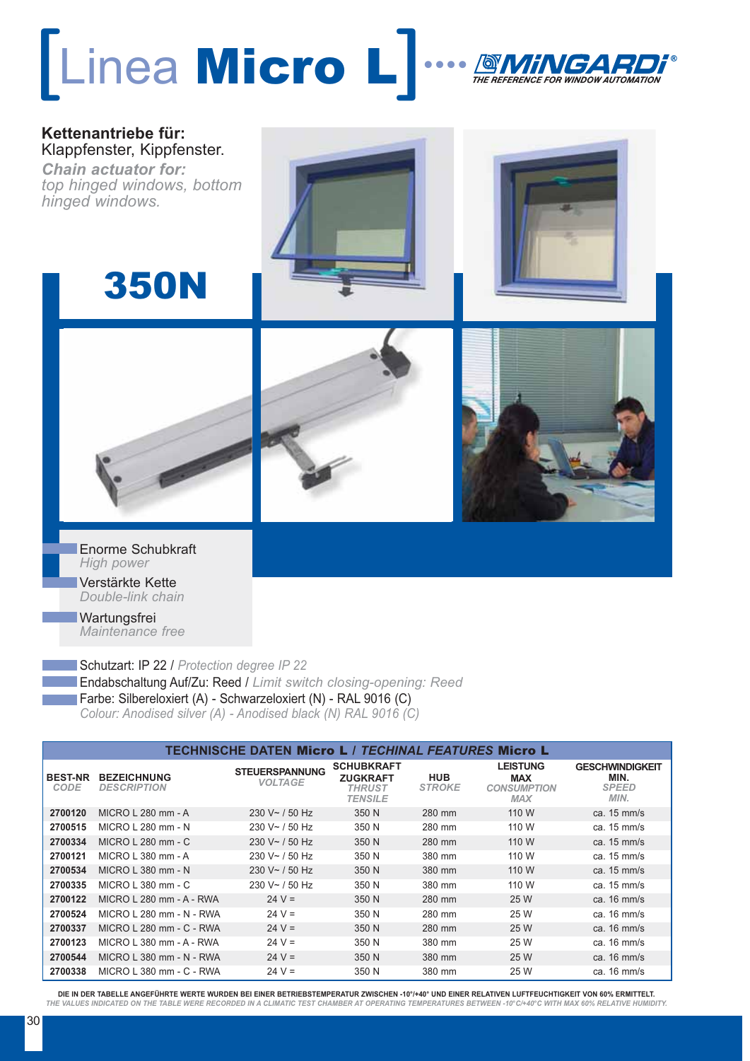## [Linea Micro L] … THE REFERENCE FOR WINDOW AUTOMATION



Enorme Schubkraft *High power* Verstärkte Kette *Double-link chain*

**Wartungsfrei** *Maintenance free* 

Schutzart: IP 22 / *Protection degree IP 22* Endabschaltung Auf/Zu: Reed / *Limit switch closing-opening: Reed* Farbe: Silbereloxiert (A) - Schwarzeloxiert (N) - RAL 9016 (C) *Colour: Anodised silver (A) - Anodised black (N) RAL 9016 (C)*

| <b>TECHNISCHE DATEN Micro L / TECHINAL FEATURES Micro L</b> |                                          |                                         |                                                                         |                             |                                                                   |                                                        |  |
|-------------------------------------------------------------|------------------------------------------|-----------------------------------------|-------------------------------------------------------------------------|-----------------------------|-------------------------------------------------------------------|--------------------------------------------------------|--|
| <b>BEST-NR</b><br>CODE                                      | <b>BEZEICHNUNG</b><br><b>DESCRIPTION</b> | <b>STEUERSPANNUNG</b><br><b>VOLTAGE</b> | <b>SCHUBKRAFT</b><br><b>ZUGKRAFT</b><br><b>THRUST</b><br><b>TENSILE</b> | <b>HUB</b><br><b>STROKE</b> | <b>LEISTUNG</b><br><b>MAX</b><br><b>CONSUMPTION</b><br><b>MAX</b> | <b>GESCHWINDIGKEIT</b><br>MIN.<br><b>SPEED</b><br>MIN. |  |
| 2700120                                                     | MICRO L 280 mm - A                       | $230 V \sim 750 Hz$                     | 350 N                                                                   | 280 mm                      | 110 W                                                             | ca. $15 \text{ mm/s}$                                  |  |
| 2700515                                                     | MICRO L 280 mm - N                       | $230 V - 750 Hz$                        | 350 N                                                                   | 280 mm                      | 110 W                                                             | ca. $15 \text{ mm/s}$                                  |  |
| 2700334                                                     | MICRO L 280 mm - C                       | $230 V \sim 750 Hz$                     | 350 N                                                                   | 280 mm                      | 110 W                                                             | ca. $15 \text{ mm/s}$                                  |  |
| 2700121                                                     | $MICRO$   380 mm - A                     | $230 V \sim 750 Hz$                     | 350 N                                                                   | 380 mm                      | 110 W                                                             | ca. $15 \text{ mm/s}$                                  |  |
| 2700534                                                     | MICRO L 380 mm - N                       | $230 V \sim 750 Hz$                     | 350 N                                                                   | 380 mm                      | 110 W                                                             | ca. $15 \text{ mm/s}$                                  |  |
| 2700335                                                     | MICRO L 380 mm - C                       | $230 V - 750 Hz$                        | 350 N                                                                   | 380 mm                      | 110 W                                                             | ca. $15 \text{ mm/s}$                                  |  |
| 2700122                                                     | MICRO L 280 mm - A - RWA                 | $24 V =$                                | 350 N                                                                   | 280 mm                      | 25 W                                                              | ca. $16 \text{ mm/s}$                                  |  |
| 2700524                                                     | MICRO L 280 mm - N - RWA                 | $24 V =$                                | 350 N                                                                   | 280 mm                      | 25 W                                                              | ca. $16 \text{ mm/s}$                                  |  |
| 2700337                                                     | MICRO L 280 mm - C - RWA                 | $24 V =$                                | 350 N                                                                   | 280 mm                      | 25 W                                                              | ca. $16 \text{ mm/s}$                                  |  |
| 2700123                                                     | MICRO L 380 mm - A - RWA                 | $24 V =$                                | 350 N                                                                   | 380 mm                      | 25 W                                                              | ca. $16 \text{ mm/s}$                                  |  |
| 2700544                                                     | MICRO L 380 mm - N - RWA                 | $24 V =$                                | 350 N                                                                   | 380 mm                      | 25 W                                                              | ca. $16 \text{ mm/s}$                                  |  |
| 2700338                                                     | MICRO L 380 mm - C - RWA                 | $24 V =$                                | 350 N                                                                   | 380 mm                      | 25 W                                                              | ca. $16 \text{ mm/s}$                                  |  |

**DIE IN DER TABELLE ANGEFÜHRTE WERTE WURDEN BEI EINER BETRIEBSTEMPERATUR ZWISCHEN -10°/+40° UND EINER RELATIVEN LUFTFEUCHTIGKEIT VON 60% ERMITTELT.** *THE VALUES INDICATED ON THE TABLE WERE RECORDED IN A CLIMATIC TEST CHAMBER AT OPERATING TEMPERATURES BETWEEN -10°C/+40°C WITH MAX 60% RELATIVE HUMIDITY.*